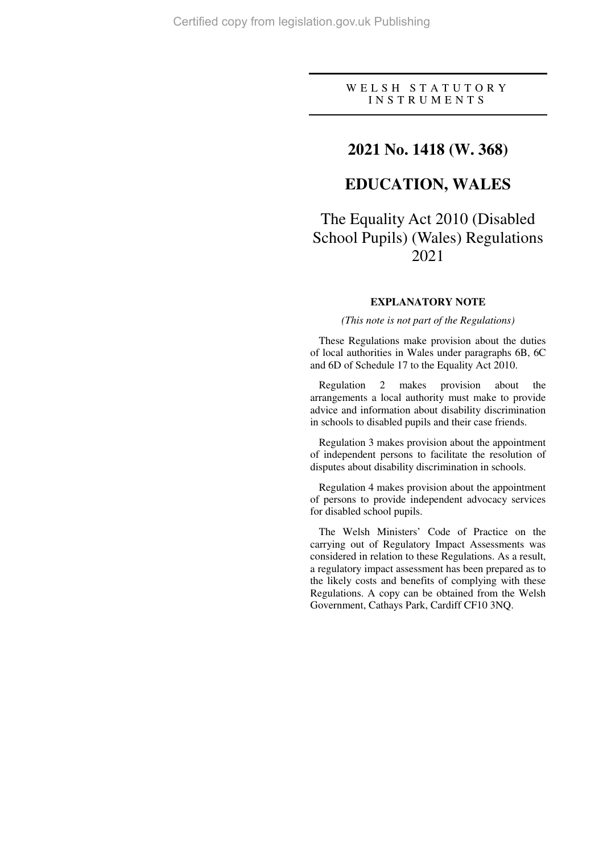### W E L S H S T A T U T O R Y I N S T R U M E N T S

### **2021 No. 1418 (W. 368)**

# **EDUCATION, WALES**

# The Equality Act 2010 (Disabled School Pupils) (Wales) Regulations 2021

### **EXPLANATORY NOTE**

#### *(This note is not part of the Regulations)*

These Regulations make provision about the duties of local authorities in Wales under paragraphs 6B, 6C and 6D of Schedule 17 to the Equality Act 2010.

Regulation 2 makes provision about the arrangements a local authority must make to provide advice and information about disability discrimination in schools to disabled pupils and their case friends.

Regulation 3 makes provision about the appointment of independent persons to facilitate the resolution of disputes about disability discrimination in schools.

Regulation 4 makes provision about the appointment of persons to provide independent advocacy services for disabled school pupils.

The Welsh Ministers' Code of Practice on the carrying out of Regulatory Impact Assessments was considered in relation to these Regulations. As a result, a regulatory impact assessment has been prepared as to the likely costs and benefits of complying with these Regulations. A copy can be obtained from the Welsh Government, Cathays Park, Cardiff CF10 3NQ.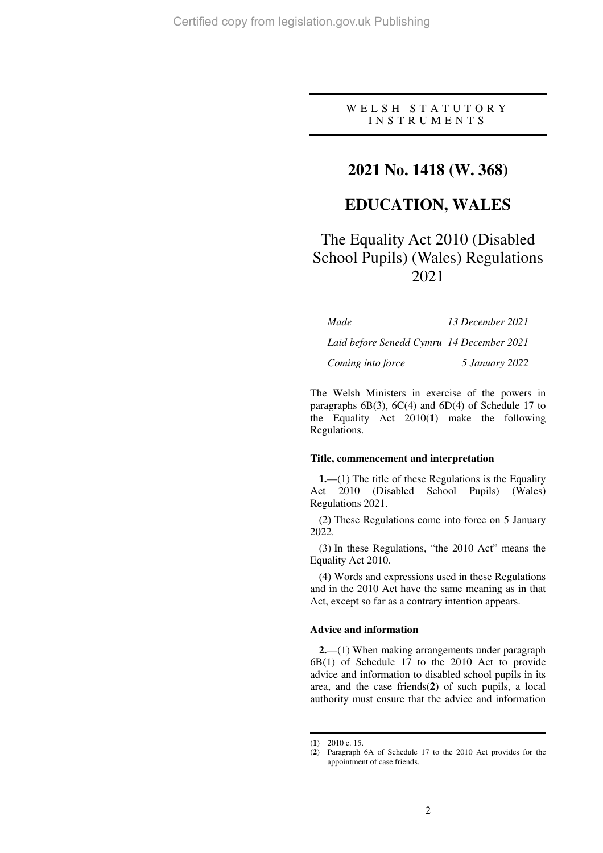### W E L S H S T A T U T O R Y I N S T R U M E N T S

## **2021 No. 1418 (W. 368)**

## **EDUCATION, WALES**

# The Equality Act 2010 (Disabled School Pupils) (Wales) Regulations 2021

| Made                                      | 13 December 2021 |
|-------------------------------------------|------------------|
| Laid before Senedd Cymru 14 December 2021 |                  |
| Coming into force                         | 5 January 2022   |

The Welsh Ministers in exercise of the powers in paragraphs  $6B(3)$ ,  $6C(4)$  and  $6D(4)$  of Schedule 17 to the Equality Act 2010(**1**) make the following Regulations.

#### **Title, commencement and interpretation**

**1.**—(1) The title of these Regulations is the Equality Act 2010 (Disabled School Pupils) (Wales) Regulations 2021.

(2) These Regulations come into force on 5 January 2022.

(3) In these Regulations, "the 2010 Act" means the Equality Act 2010.

(4) Words and expressions used in these Regulations and in the 2010 Act have the same meaning as in that Act, except so far as a contrary intention appears.

#### **Advice and information**

**2.**—(1) When making arrangements under paragraph 6B(1) of Schedule 17 to the 2010 Act to provide advice and information to disabled school pupils in its area, and the case friends(**2**) of such pupils, a local authority must ensure that the advice and information

 $\overline{a}$ 

<sup>(</sup>**1**) 2010 c. 15.

<sup>(</sup>**2**) Paragraph 6A of Schedule 17 to the 2010 Act provides for the appointment of case friends.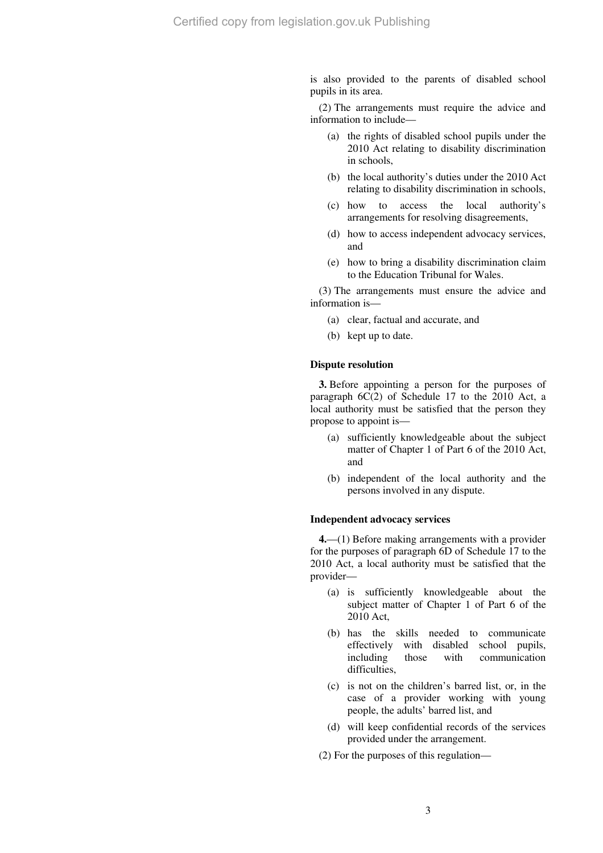is also provided to the parents of disabled school pupils in its area.

(2) The arrangements must require the advice and information to include—

- (a) the rights of disabled school pupils under the 2010 Act relating to disability discrimination in schools,
- (b) the local authority's duties under the 2010 Act relating to disability discrimination in schools,
- (c) how to access the local authority's arrangements for resolving disagreements,
- (d) how to access independent advocacy services, and
- (e) how to bring a disability discrimination claim to the Education Tribunal for Wales.

(3) The arrangements must ensure the advice and information is—

- (a) clear, factual and accurate, and
- (b) kept up to date.

### **Dispute resolution**

**3.** Before appointing a person for the purposes of paragraph 6C(2) of Schedule 17 to the 2010 Act, a local authority must be satisfied that the person they propose to appoint is—

- (a) sufficiently knowledgeable about the subject matter of Chapter 1 of Part 6 of the 2010 Act, and
- (b) independent of the local authority and the persons involved in any dispute.

#### **Independent advocacy services**

**4.**—(1) Before making arrangements with a provider for the purposes of paragraph 6D of Schedule 17 to the 2010 Act, a local authority must be satisfied that the provider—

- (a) is sufficiently knowledgeable about the subject matter of Chapter 1 of Part 6 of the 2010 Act,
- (b) has the skills needed to communicate effectively with disabled school pupils, including those with communication difficulties,
- (c) is not on the children's barred list, or, in the case of a provider working with young people, the adults' barred list, and
- (d) will keep confidential records of the services provided under the arrangement.
- (2) For the purposes of this regulation—